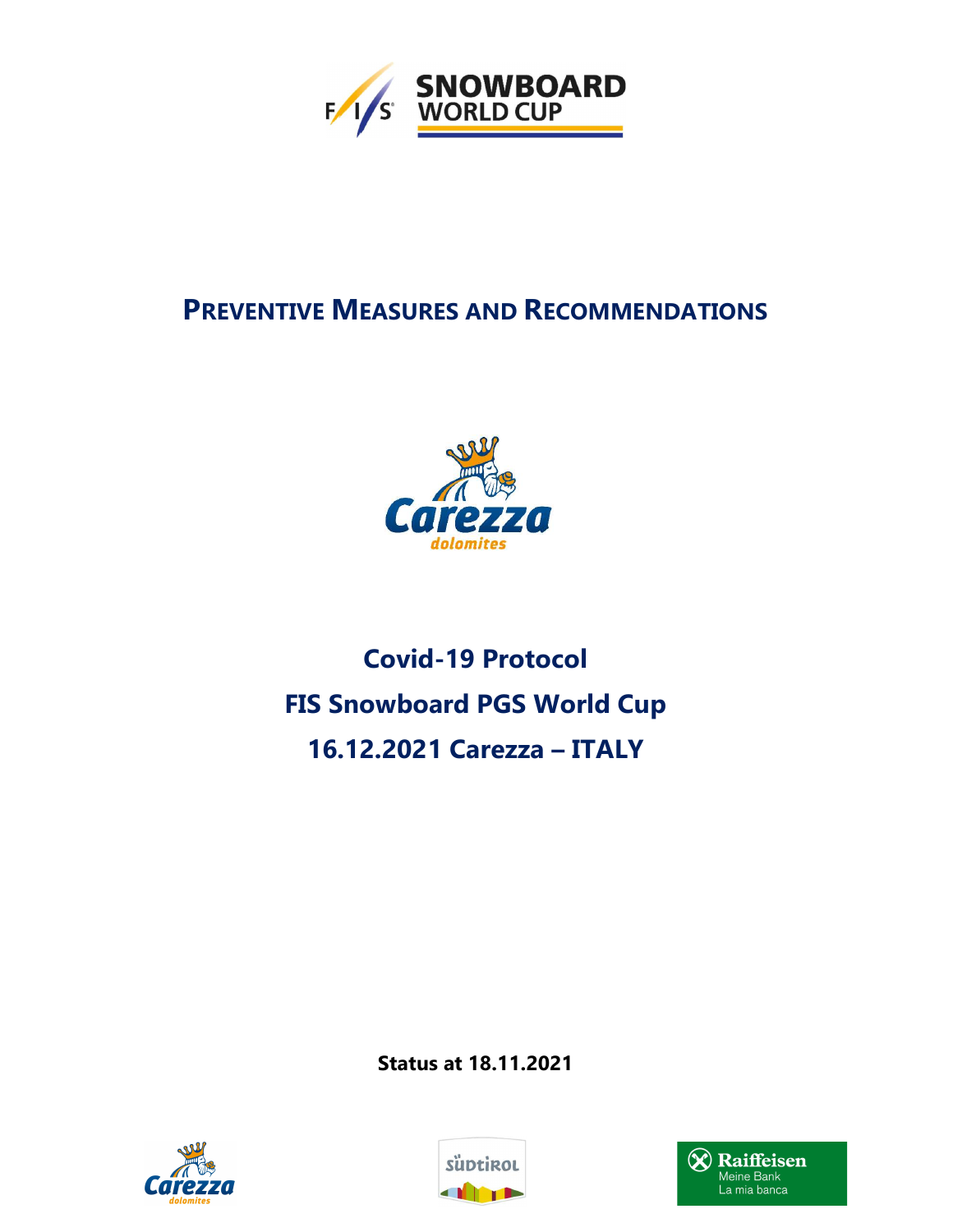

# PREVENTIVE MEASURES AND RECOMMENDATIONS



# Covid-19 Protocol FIS Snowboard PGS World Cup 16.12.2021 Carezza – ITALY

Status at 18.11.2021





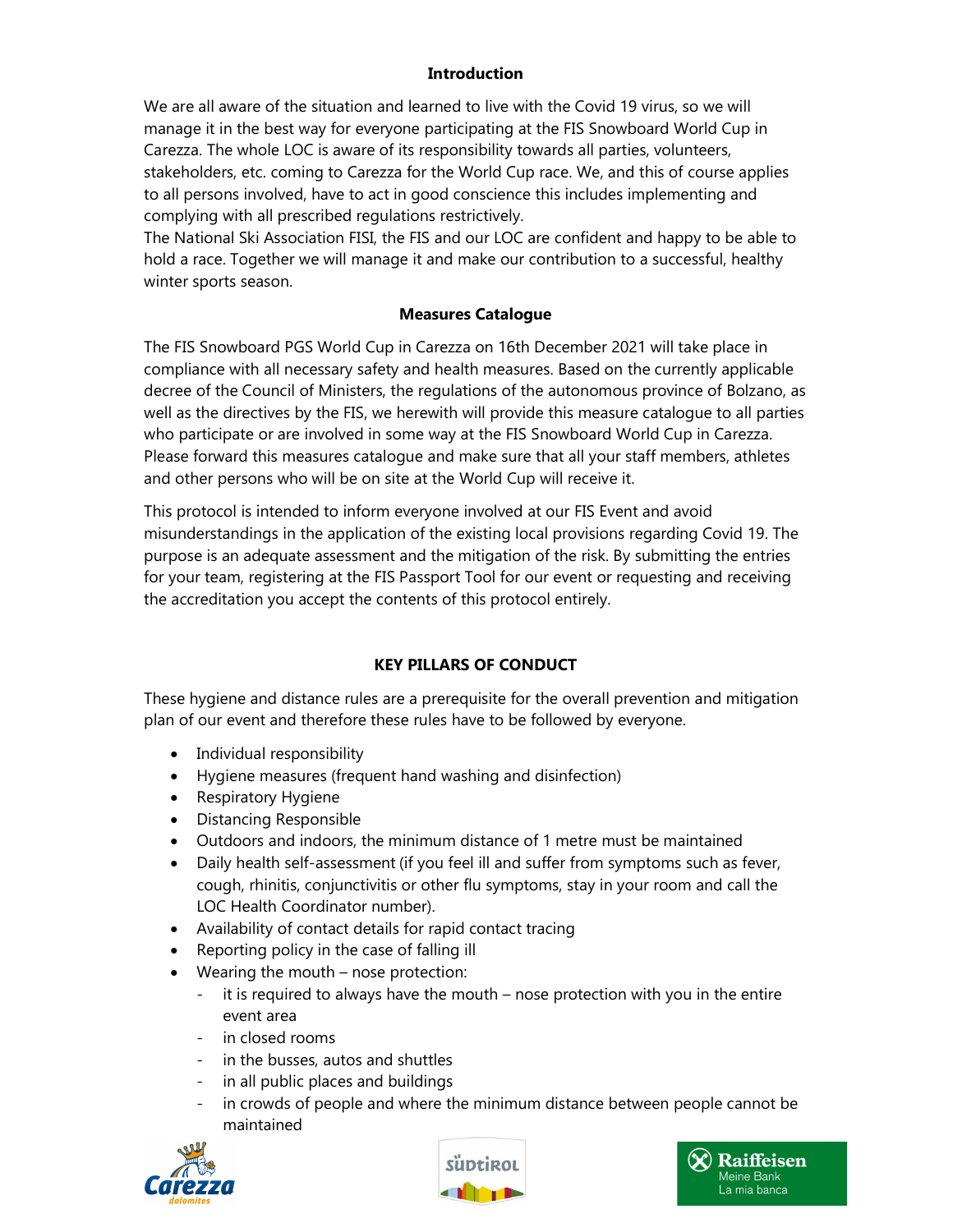# **Introduction**

We are all aware of the situation and learned to live with the Covid 19 virus, so we will manage it in the best way for everyone participating at the FIS Snowboard World Cup in Carezza. The whole LOC is aware of its responsibility towards all parties, volunteers, stakeholders, etc. coming to Carezza for the World Cup race. We, and this of course applies to all persons involved, have to act in good conscience this includes implementing and complying with all prescribed regulations restrictively.

The National Ski Association FISI, the FIS and our LOC are confident and happy to be able to hold a race. Together we will manage it and make our contribution to a successful, healthy winter sports season.

#### Measures Catalogue

The FIS Snowboard PGS World Cup in Carezza on 16th December 2021 will take place in compliance with all necessary safety and health measures. Based on the currently applicable decree of the Council of Ministers, the regulations of the autonomous province of Bolzano, as well as the directives by the FIS, we herewith will provide this measure catalogue to all parties who participate or are involved in some way at the FIS Snowboard World Cup in Carezza. Please forward this measures catalogue and make sure that all your staff members, athletes and other persons who will be on site at the World Cup will receive it.

This protocol is intended to inform everyone involved at our FIS Event and avoid misunderstandings in the application of the existing local provisions regarding Covid 19. The purpose is an adequate assessment and the mitigation of the risk. By submitting the entries for your team, registering at the FIS Passport Tool for our event or requesting and receiving the accreditation you accept the contents of this protocol entirely.

# KEY PILLARS OF CONDUCT

These hygiene and distance rules are a prerequisite for the overall prevention and mitigation plan of our event and therefore these rules have to be followed by everyone.

- Individual responsibility
- Hygiene measures (frequent hand washing and disinfection)
- Respiratory Hygiene
- Distancing Responsible
- Outdoors and indoors, the minimum distance of 1 metre must be maintained
- Daily health self-assessment (if you feel ill and suffer from symptoms such as fever, cough, rhinitis, conjunctivitis or other flu symptoms, stay in your room and call the LOC Health Coordinator number).
- Availability of contact details for rapid contact tracing
- Reporting policy in the case of falling ill
- Wearing the mouth nose protection:
	- it is required to always have the mouth nose protection with you in the entire event area
	- in closed rooms
	- in the busses, autos and shuttles
	- in all public places and buildings
	- in crowds of people and where the minimum distance between people cannot be maintained





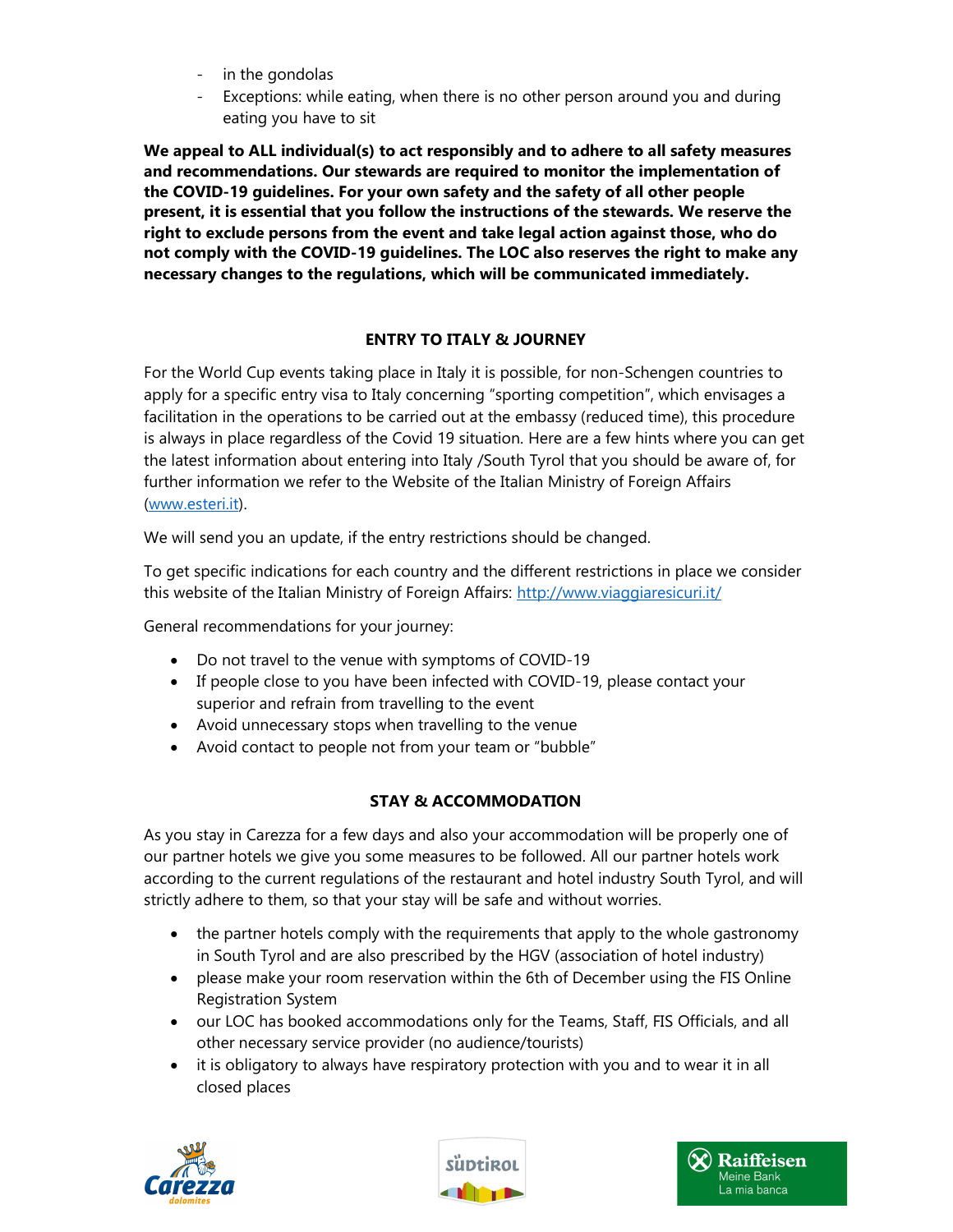- in the gondolas
- Exceptions: while eating, when there is no other person around you and during eating you have to sit

We appeal to ALL individual(s) to act responsibly and to adhere to all safety measures and recommendations. Our stewards are required to monitor the implementation of the COVID-19 guidelines. For your own safety and the safety of all other people present, it is essential that you follow the instructions of the stewards. We reserve the right to exclude persons from the event and take legal action against those, who do not comply with the COVID-19 guidelines. The LOC also reserves the right to make any necessary changes to the regulations, which will be communicated immediately.

# ENTRY TO ITALY & JOURNEY

For the World Cup events taking place in Italy it is possible, for non-Schengen countries to apply for a specific entry visa to Italy concerning "sporting competition", which envisages a facilitation in the operations to be carried out at the embassy (reduced time), this procedure is always in place regardless of the Covid 19 situation. Here are a few hints where you can get the latest information about entering into Italy /South Tyrol that you should be aware of, for further information we refer to the Website of the Italian Ministry of Foreign Affairs (www.esteri.it).

We will send you an update, if the entry restrictions should be changed.

To get specific indications for each country and the different restrictions in place we consider this website of the Italian Ministry of Foreign Affairs: http://www.viaggiaresicuri.it/

General recommendations for your journey:

- Do not travel to the venue with symptoms of COVID-19
- If people close to you have been infected with COVID-19, please contact your superior and refrain from travelling to the event
- Avoid unnecessary stops when travelling to the venue
- Avoid contact to people not from your team or "bubble"

# STAY & ACCOMMODATION

As you stay in Carezza for a few days and also your accommodation will be properly one of our partner hotels we give you some measures to be followed. All our partner hotels work according to the current regulations of the restaurant and hotel industry South Tyrol, and will strictly adhere to them, so that your stay will be safe and without worries.

- the partner hotels comply with the requirements that apply to the whole gastronomy in South Tyrol and are also prescribed by the HGV (association of hotel industry)
- please make your room reservation within the 6th of December using the FIS Online Registration System
- our LOC has booked accommodations only for the Teams, Staff, FIS Officials, and all other necessary service provider (no audience/tourists)
- it is obligatory to always have respiratory protection with you and to wear it in all closed places





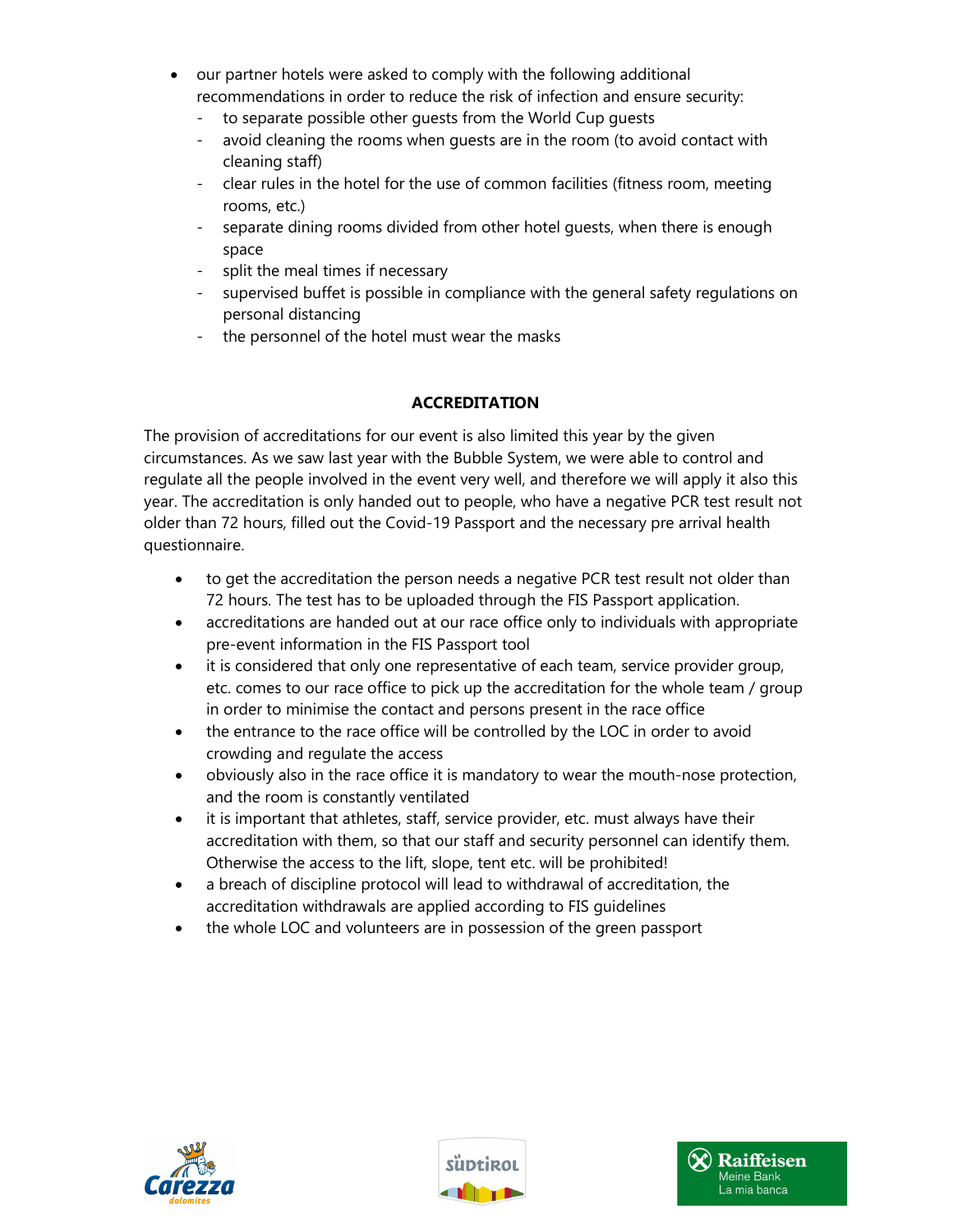- our partner hotels were asked to comply with the following additional recommendations in order to reduce the risk of infection and ensure security:
	- to separate possible other guests from the World Cup guests
	- avoid cleaning the rooms when guests are in the room (to avoid contact with cleaning staff)
	- clear rules in the hotel for the use of common facilities (fitness room, meeting rooms, etc.)
	- separate dining rooms divided from other hotel guests, when there is enough space
	- split the meal times if necessary
	- supervised buffet is possible in compliance with the general safety regulations on personal distancing
	- the personnel of the hotel must wear the masks

# ACCREDITATION

The provision of accreditations for our event is also limited this year by the given circumstances. As we saw last year with the Bubble System, we were able to control and regulate all the people involved in the event very well, and therefore we will apply it also this year. The accreditation is only handed out to people, who have a negative PCR test result not older than 72 hours, filled out the Covid-19 Passport and the necessary pre arrival health questionnaire.

- to get the accreditation the person needs a negative PCR test result not older than 72 hours. The test has to be uploaded through the FIS Passport application.
- accreditations are handed out at our race office only to individuals with appropriate pre-event information in the FIS Passport tool
- it is considered that only one representative of each team, service provider group, etc. comes to our race office to pick up the accreditation for the whole team / group in order to minimise the contact and persons present in the race office
- the entrance to the race office will be controlled by the LOC in order to avoid crowding and regulate the access
- obviously also in the race office it is mandatory to wear the mouth-nose protection, and the room is constantly ventilated
- it is important that athletes, staff, service provider, etc. must always have their accreditation with them, so that our staff and security personnel can identify them. Otherwise the access to the lift, slope, tent etc. will be prohibited!
- a breach of discipline protocol will lead to withdrawal of accreditation, the accreditation withdrawals are applied according to FIS guidelines
- the whole LOC and volunteers are in possession of the green passport





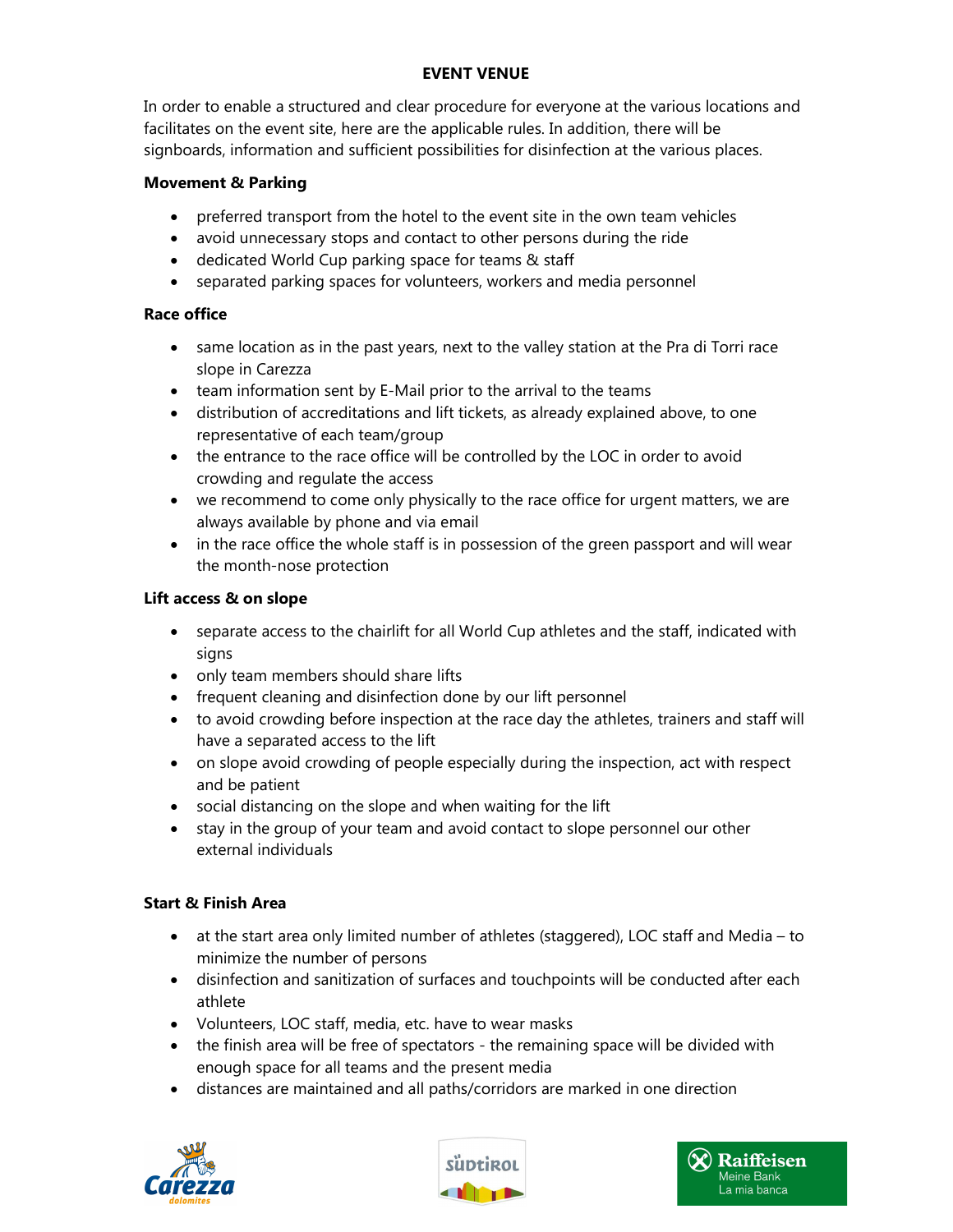# EVENT VENUE

In order to enable a structured and clear procedure for everyone at the various locations and facilitates on the event site, here are the applicable rules. In addition, there will be signboards, information and sufficient possibilities for disinfection at the various places.

#### Movement & Parking

- preferred transport from the hotel to the event site in the own team vehicles
- avoid unnecessary stops and contact to other persons during the ride
- dedicated World Cup parking space for teams & staff
- separated parking spaces for volunteers, workers and media personnel

#### Race office

- same location as in the past years, next to the valley station at the Pra di Torri race slope in Carezza
- team information sent by E-Mail prior to the arrival to the teams
- distribution of accreditations and lift tickets, as already explained above, to one representative of each team/group
- the entrance to the race office will be controlled by the LOC in order to avoid crowding and regulate the access
- we recommend to come only physically to the race office for urgent matters, we are always available by phone and via email
- in the race office the whole staff is in possession of the green passport and will wear the month-nose protection

#### Lift access & on slope

- separate access to the chairlift for all World Cup athletes and the staff, indicated with signs
- only team members should share lifts
- frequent cleaning and disinfection done by our lift personnel
- to avoid crowding before inspection at the race day the athletes, trainers and staff will have a separated access to the lift
- on slope avoid crowding of people especially during the inspection, act with respect and be patient
- social distancing on the slope and when waiting for the lift
- stay in the group of your team and avoid contact to slope personnel our other external individuals

#### Start & Finish Area

- at the start area only limited number of athletes (staggered), LOC staff and Media to minimize the number of persons
- disinfection and sanitization of surfaces and touchpoints will be conducted after each athlete
- Volunteers, LOC staff, media, etc. have to wear masks
- the finish area will be free of spectators the remaining space will be divided with enough space for all teams and the present media
- distances are maintained and all paths/corridors are marked in one direction





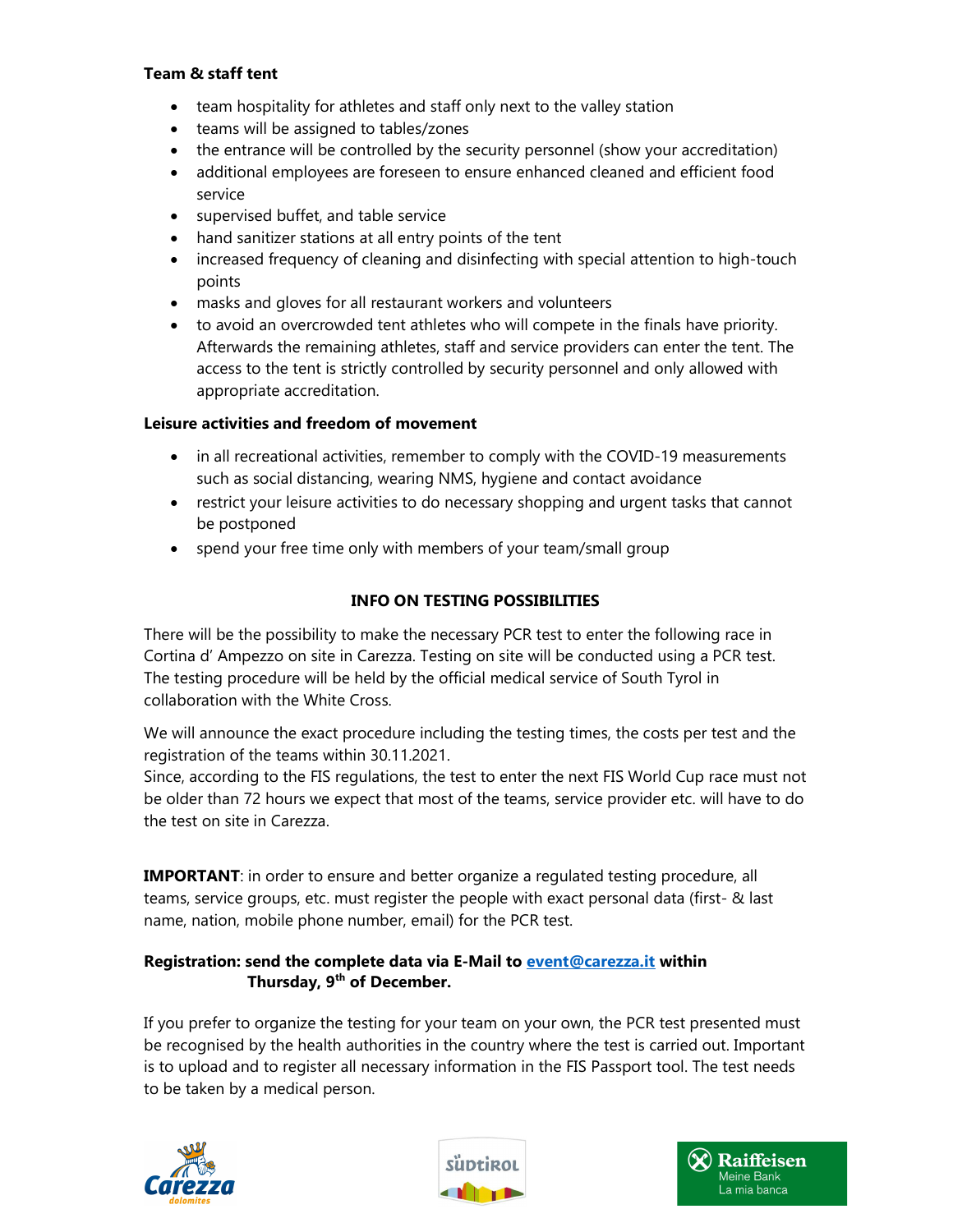# Team & staff tent

- team hospitality for athletes and staff only next to the valley station
- teams will be assigned to tables/zones
- the entrance will be controlled by the security personnel (show your accreditation)
- additional employees are foreseen to ensure enhanced cleaned and efficient food service
- supervised buffet, and table service
- hand sanitizer stations at all entry points of the tent
- increased frequency of cleaning and disinfecting with special attention to high-touch points
- masks and gloves for all restaurant workers and volunteers
- to avoid an overcrowded tent athletes who will compete in the finals have priority. Afterwards the remaining athletes, staff and service providers can enter the tent. The access to the tent is strictly controlled by security personnel and only allowed with appropriate accreditation.

# Leisure activities and freedom of movement

- in all recreational activities, remember to comply with the COVID-19 measurements such as social distancing, wearing NMS, hygiene and contact avoidance
- restrict your leisure activities to do necessary shopping and urgent tasks that cannot be postponed
- spend your free time only with members of your team/small group

# INFO ON TESTING POSSIBILITIES

There will be the possibility to make the necessary PCR test to enter the following race in Cortina d' Ampezzo on site in Carezza. Testing on site will be conducted using a PCR test. The testing procedure will be held by the official medical service of South Tyrol in collaboration with the White Cross.

We will announce the exact procedure including the testing times, the costs per test and the registration of the teams within 30.11.2021.

Since, according to the FIS regulations, the test to enter the next FIS World Cup race must not be older than 72 hours we expect that most of the teams, service provider etc. will have to do the test on site in Carezza.

IMPORTANT: in order to ensure and better organize a regulated testing procedure, all teams, service groups, etc. must register the people with exact personal data (first- & last name, nation, mobile phone number, email) for the PCR test.

# Registration: send the complete data via E-Mail to event@carezza.it within Thursday, 9<sup>th</sup> of December.

If you prefer to organize the testing for your team on your own, the PCR test presented must be recognised by the health authorities in the country where the test is carried out. Important is to upload and to register all necessary information in the FIS Passport tool. The test needs to be taken by a medical person.